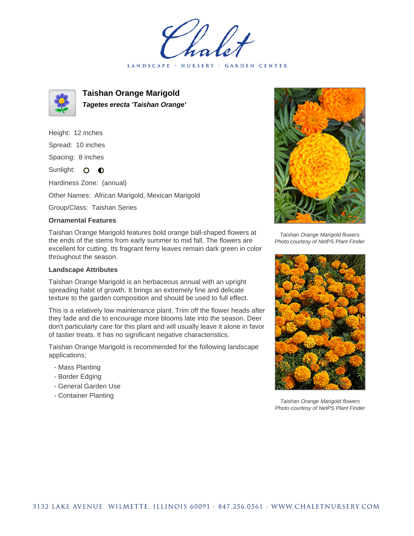LANDSCAPE · NURSERY · GARDEN CENTER



**Taishan Orange Marigold Tagetes erecta 'Taishan Orange'**

Height: 12 inches

Spread: 10 inches

Spacing: 8 inches

Sunlight: O **O** 

Hardiness Zone: (annual)

Other Names: African Marigold, Mexican Marigold

Group/Class: Taishan Series

## **Ornamental Features**

Taishan Orange Marigold features bold orange ball-shaped flowers at the ends of the stems from early summer to mid fall. The flowers are excellent for cutting. Its fragrant ferny leaves remain dark green in color throughout the season.

## **Landscape Attributes**

Taishan Orange Marigold is an herbaceous annual with an upright spreading habit of growth. It brings an extremely fine and delicate texture to the garden composition and should be used to full effect.

This is a relatively low maintenance plant. Trim off the flower heads after they fade and die to encourage more blooms late into the season. Deer don't particularly care for this plant and will usually leave it alone in favor of tastier treats. It has no significant negative characteristics.

Taishan Orange Marigold is recommended for the following landscape applications;

- Mass Planting
- Border Edging
- General Garden Use
- Container Planting



Taishan Orange Marigold flowers Photo courtesy of NetPS Plant Finder



Taishan Orange Marigold flowers Photo courtesy of NetPS Plant Finder